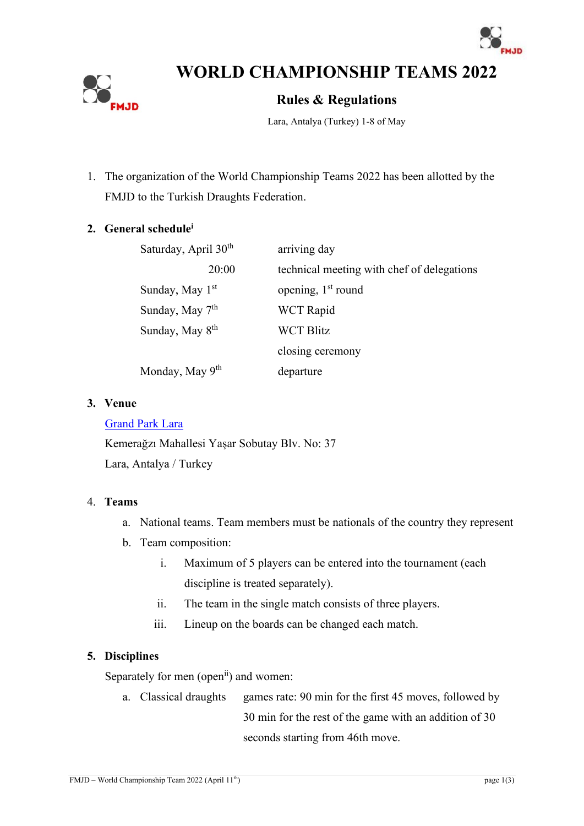



**WORLD CHAMPIONSHIP TEAMS 2022**

# **Rules & Regulations**

Lara, Antalya (Turkey) 1-8 of May

1. The organization of the World Championship Teams 2022 has been allotted by the FMJD to the Turkish Draughts Federation.

#### **2. General schedule<sup>i</sup>**

| Saturday, April 30 <sup>th</sup> | arriving day                               |
|----------------------------------|--------------------------------------------|
| 20:00                            | technical meeting with chef of delegations |
| Sunday, May 1 <sup>st</sup>      | opening, 1 <sup>st</sup> round             |
| Sunday, May 7 <sup>th</sup>      | <b>WCT</b> Rapid                           |
| Sunday, May 8 <sup>th</sup>      | <b>WCT Blitz</b>                           |
|                                  | closing ceremony                           |
| Monday, May 9 <sup>th</sup>      | departure                                  |

#### **3. Venue**

#### [Grand Park Lara](https://www.corendonhotels.com.tr/corendon-hotels-en/contact)

Kemerağzı Mahallesi Yaşar Sobutay Blv. No: 37 Lara, Antalya / Turkey

#### 4. **Teams**

- a. National teams. Team members must be nationals of the country they represent
- b. Team composition:
	- i. Maximum of 5 players can be entered into the tournament (each discipline is treated separately).
	- ii. The team in the single match consists of three players.
	- iii. Lineup on the boards can be changed each match.

# **5. Disciplines**

Separately for men (open<sup>ii</sup>) and women:

a. Classical draughts games rate: 90 min for the first 45 moves, followed by 30 min for the rest of the game with an addition of 30 seconds starting from 46th move.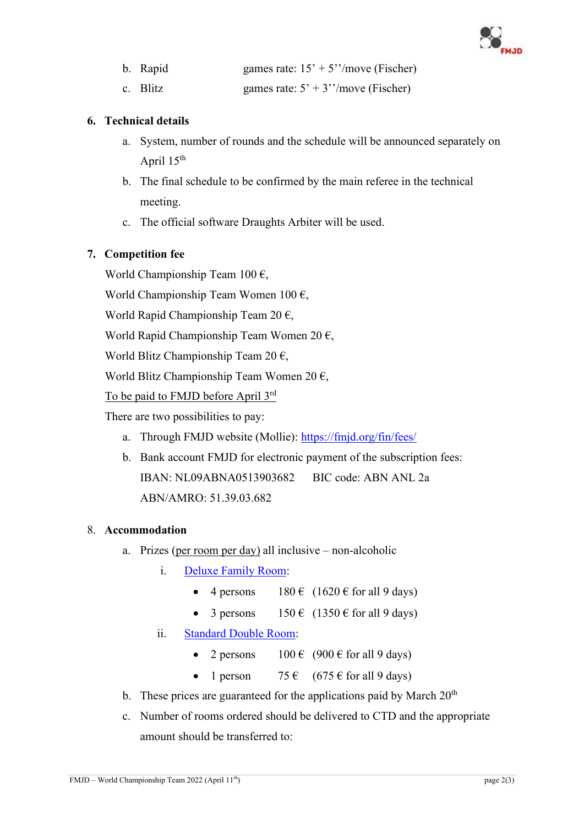

| b. Rapid | games rate: $15' + 5''/move$ (Fischer) |
|----------|----------------------------------------|
|          |                                        |

c. Blitz games rate:  $5' + 3''/move$  (Fischer)

#### **6. Technical details**

- a. System, number of rounds and the schedule will be announced separately on April 15th
- b. The final schedule to be confirmed by the main referee in the technical meeting.
- c. The official software Draughts Arbiter will be used.

# **7. Competition fee**

World Championship Team  $100 \text{ } \epsilon$ ,

World Championship Team Women 100  $\epsilon$ ,

World Rapid Championship Team 20  $\epsilon$ ,

World Rapid Championship Team Women 20 $\epsilon$ ,

World Blitz Championship Team 20  $\epsilon$ ,

World Blitz Championship Team Women 20  $\epsilon$ ,

To be paid to FMJD before April 3rd

There are two possibilities to pay:

- a. Through FMJD website (Mollie): <https://fmjd.org/fin/fees/>
- b. Bank account FMJD for electronic payment of the subscription fees: IBAN: NL09ABNA0513903682 BIC code: ABN ANL 2a ABN/AMRO: 51.39.03.682

# 8. **Accommodation**

- a. Prizes (per room per day) all inclusive non-alcoholic
	- i. [Deluxe Family Room:](https://www.corendonhotels.com.tr/grand-park-lara-en/accommodation-en/family-deluxe-room)
		- 4 persons  $180 \in (1620 \in \text{for all } 9 \text{ days})$
		- 3 persons  $150 \in (1350 \in \text{for all } 9 \text{ days})$
	- ii. [Standard Double Room:](https://www.corendonhotels.com.tr/grand-park-lara-en/accommodation-en/standard-room)
		- 2 persons  $100 \in (900 \in \text{for all } 9 \text{ days})$
		- 1 person  $75 \in (675 \in \text{for all } 9 \text{ days})$
- b. These prices are guaranteed for the applications paid by March  $20<sup>th</sup>$
- c. Number of rooms ordered should be delivered to CTD and the appropriate amount should be transferred to: